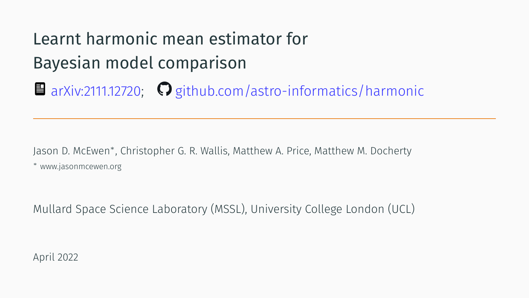# Learnt harmonic mean estimator for Bayesian model comparison

■ arXiv:2111.12720; ● github.com/astro-informatics/harmonic

Jason D. McEwen*<sup>∗</sup>* , Christopher G. R. Wallis, Matthew A. Price, Matthew M. Docherty *∗* www.jasonmcewen.org

Mullard Space Science Laboratory (MSSL), University College London (UCL)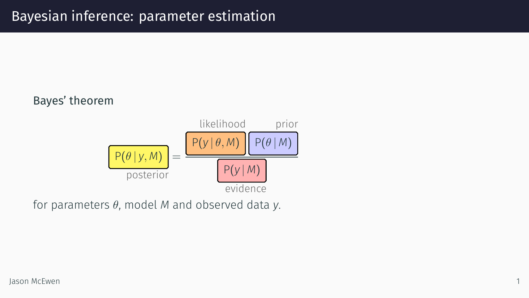### Bayesian inference: parameter estimation

Bayes' theorem



for parameters *θ*, model *M* and observed data *y*.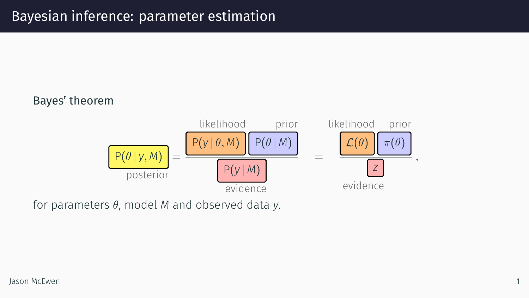### Bayesian inference: parameter estimation

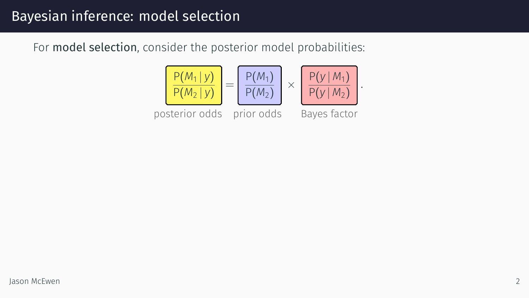### Bayesian inference: model selection

For model selection, consider the posterior model probabilities:

$$
\frac{P(M_1|y)}{P(M_2|y)} = \frac{P(M_1)}{P(M_2)} \times \frac{P(y|M_1)}{P(y|M_2)}
$$

posterior odds prior odds Bayes factor

*.*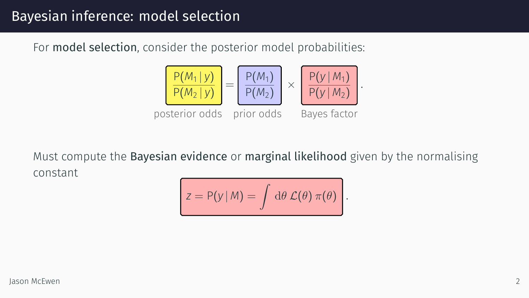### Bayesian inference: model selection

For model selection, consider the posterior model probabilities:



Must compute the Bayesian evidence or marginal likelihood given by the normalising constant Ċ  $\overline{\phantom{1}}$ 

$$
z = P(y | M) = \int d\theta \mathcal{L}(\theta) \pi(\theta).
$$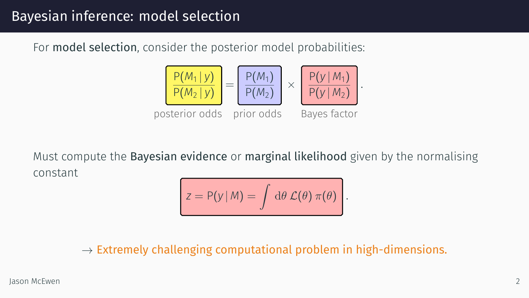### Bayesian inference: model selection

For model selection, consider the posterior model probabilities:



Must compute the Bayesian evidence or marginal likelihood given by the normalising constant

$$
z = P(y | M) = \int d\theta \, \mathcal{L}(\theta) \, \pi(\theta) \, .
$$

*→* Extremely challenging computational problem in high-dimensions.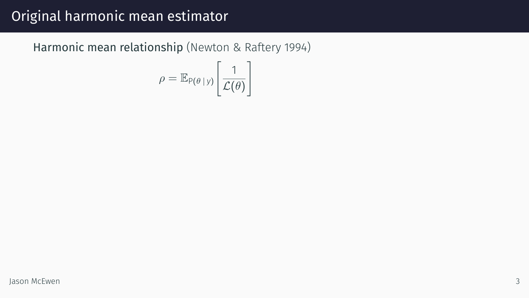Harmonic mean relationship (Newton & Raftery 1994)

$$
\rho = \mathbb{E}_{P(\theta | y)} \left[ \frac{1}{\mathcal{L}(\theta)} \right]
$$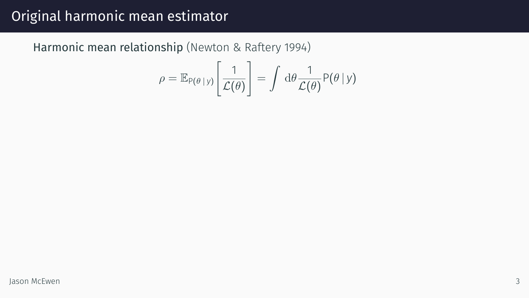Harmonic mean relationship (Newton & Raftery 1994)

$$
\rho = \mathbb{E}_{P(\theta | y)} \left[ \frac{1}{\mathcal{L}(\theta)} \right] = \int d\theta \frac{1}{\mathcal{L}(\theta)} P(\theta | y)
$$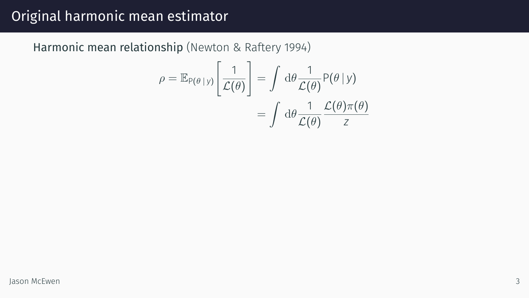Harmonic mean relationship (Newton & Raftery 1994)

 $\overline{a}$ 

$$
\rho = \mathbb{E}_{P(\theta | y)} \left[ \frac{1}{\mathcal{L}(\theta)} \right] = \int d\theta \frac{1}{\mathcal{L}(\theta)} P(\theta | y)
$$

$$
= \int d\theta \frac{1}{\mathcal{L}(\theta)} \frac{\mathcal{L}(\theta) \pi(\theta)}{z}
$$

 $\overline{a}$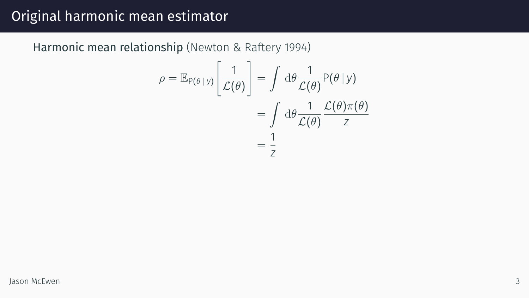Harmonic mean relationship (Newton & Raftery 1994)

$$
\rho = \mathbb{E}_{P(\theta | y)} \left[ \frac{1}{\mathcal{L}(\theta)} \right] = \int d\theta \frac{1}{\mathcal{L}(\theta)} P(\theta | y)
$$

$$
= \int d\theta \frac{1}{\mathcal{L}(\theta)} \frac{\mathcal{L}(\theta) \pi(\theta)}{z}
$$

$$
= \frac{1}{z}
$$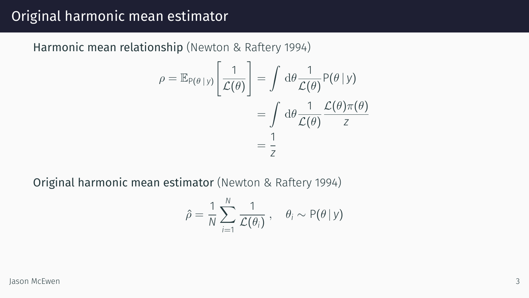Harmonic mean relationship (Newton & Raftery 1994)

$$
\rho = \mathbb{E}_{P(\theta | y)} \left[ \frac{1}{\mathcal{L}(\theta)} \right] = \int d\theta \frac{1}{\mathcal{L}(\theta)} P(\theta | y)
$$

$$
= \int d\theta \frac{1}{\mathcal{L}(\theta)} \frac{\mathcal{L}(\theta) \pi(\theta)}{z}
$$

$$
= \frac{1}{z}
$$

Original harmonic mean estimator (Newton & Raftery 1994)

$$
\hat{\rho} = \frac{1}{N} \sum_{i=1}^{N} \frac{1}{\mathcal{L}(\theta_i)}, \quad \theta_i \sim \mathsf{P}(\theta | y)
$$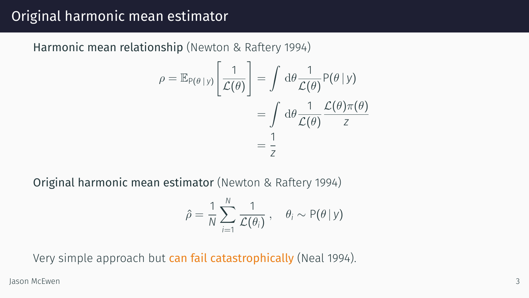Harmonic mean relationship (Newton & Raftery 1994)

$$
\rho = \mathbb{E}_{P(\theta | y)} \left[ \frac{1}{\mathcal{L}(\theta)} \right] = \int d\theta \frac{1}{\mathcal{L}(\theta)} P(\theta | y)
$$

$$
= \int d\theta \frac{1}{\mathcal{L}(\theta)} \frac{\mathcal{L}(\theta) \pi(\theta)}{z}
$$

$$
= \frac{1}{z}
$$

Original harmonic mean estimator (Newton & Raftery 1994)

$$
\hat{\rho} = \frac{1}{N} \sum_{i=1}^{N} \frac{1}{\mathcal{L}(\theta_i)}, \quad \theta_i \sim P(\theta | y)
$$

Very simple approach but can fail catastrophically (Neal 1994).

Jason McEwen 3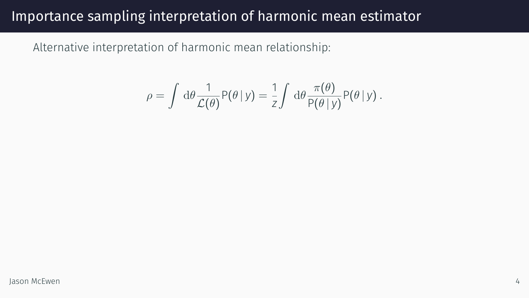Alternative interpretation of harmonic mean relationship:

$$
\rho = \int d\theta \frac{1}{\mathcal{L}(\theta)} P(\theta | y) = \frac{1}{z} \int d\theta \frac{\pi(\theta)}{P(\theta | y)} P(\theta | y) .
$$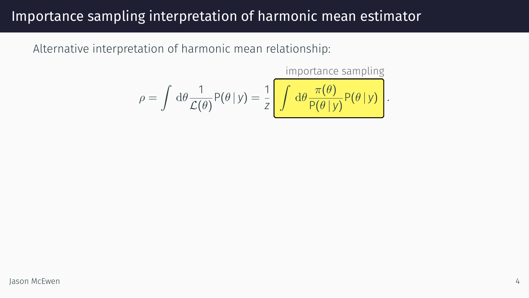Alternative interpretation of harmonic mean relationship:

$$
\rho = \int d\theta \frac{1}{\mathcal{L}(\theta)} P(\theta | y) = \frac{1}{Z} \left[ \int d\theta \frac{\pi(\theta)}{P(\theta | y)} P(\theta | y) \right].
$$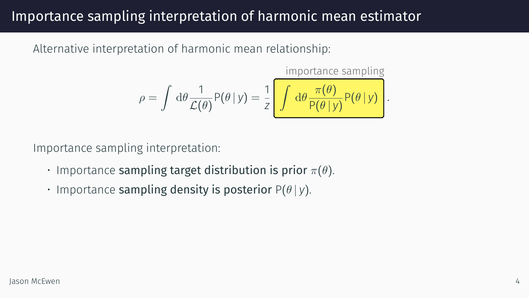Alternative interpretation of harmonic mean relationship:

$$
\rho = \int d\theta \frac{1}{\mathcal{L}(\theta)} P(\theta | y) = \frac{1}{z} \left[ \int d\theta \frac{\pi(\theta)}{P(\theta | y)} P(\theta | y) \right].
$$

Importance sampling interpretation:

- Importance sampling target distribution is prior *π*(*θ*).
- Importance sampling density is posterior P(*θ | y*).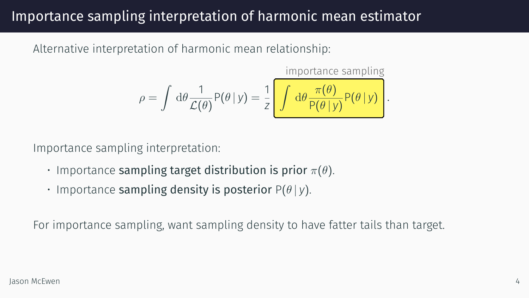Alternative interpretation of harmonic mean relationship:

$$
\rho = \int d\theta \frac{1}{\mathcal{L}(\theta)} P(\theta | y) = \frac{1}{z} \left[ \int d\theta \frac{\pi(\theta)}{P(\theta | y)} P(\theta | y) \right].
$$

Importance sampling interpretation:

- Importance sampling target distribution is prior *π*(*θ*).
- Importance sampling density is posterior P(*θ | y*).

For importance sampling, want sampling density to have fatter tails than target.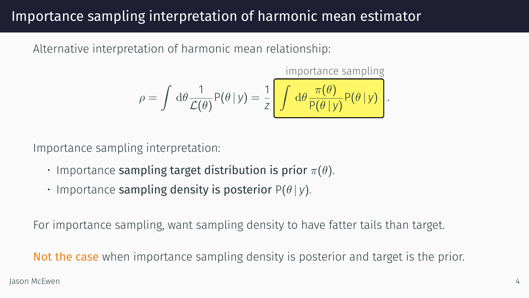Alternative interpretation of harmonic mean relationship:

$$
\rho = \int d\theta \frac{1}{\mathcal{L}(\theta)} P(\theta | y) = \frac{1}{z} \left[ \int d\theta \frac{\pi(\theta)}{P(\theta | y)} P(\theta | y) \right].
$$

Importance sampling interpretation:

- Importance sampling target distribution is prior *π*(*θ*).
- Importance sampling density is posterior P(*θ | y*).

For importance sampling, want sampling density to have fatter tails than target.

Not the case when importance sampling density is posterior and target is the prior.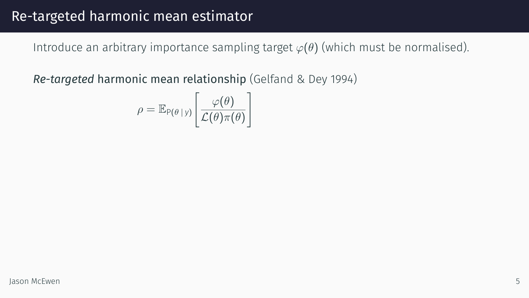Introduce an arbitrary importance sampling target  $\varphi(\theta)$  (which must be normalised).

$$
\rho = \mathbb{E}_{P(\theta | y)} \left[ \frac{\varphi(\theta)}{\mathcal{L}(\theta)\pi(\theta)} \right]
$$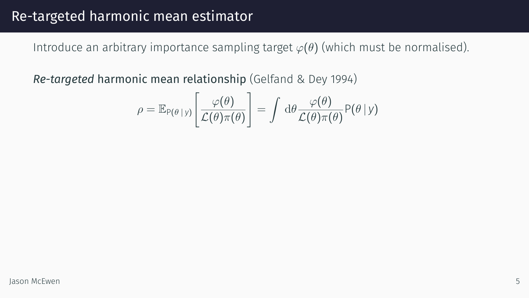Introduce an arbitrary importance sampling target  $\varphi(\theta)$  (which must be normalised).

$$
\rho = \mathbb{E}_{P(\theta | y)} \left[ \frac{\varphi(\theta)}{\mathcal{L}(\theta) \pi(\theta)} \right] = \int d\theta \frac{\varphi(\theta)}{\mathcal{L}(\theta) \pi(\theta)} P(\theta | y)
$$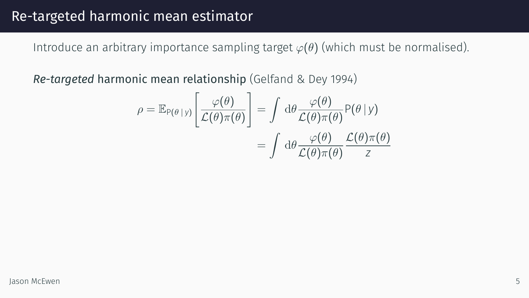Introduce an arbitrary importance sampling target *φ*(*θ*) (which must be normalised).

$$
\rho = \mathbb{E}_{P(\theta | y)} \left[ \frac{\varphi(\theta)}{\mathcal{L}(\theta)\pi(\theta)} \right] = \int d\theta \frac{\varphi(\theta)}{\mathcal{L}(\theta)\pi(\theta)} P(\theta | y)
$$

$$
= \int d\theta \frac{\varphi(\theta)}{\mathcal{L}(\theta)\pi(\theta)} \frac{\mathcal{L}(\theta)\pi(\theta)}{z}
$$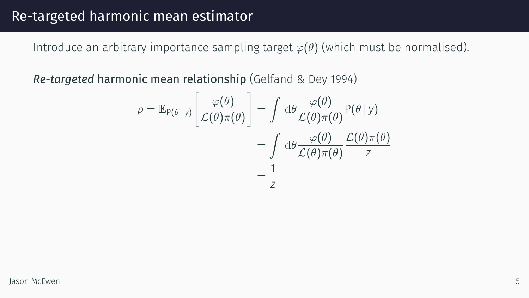Introduce an arbitrary importance sampling target *φ*(*θ*) (which must be normalised).

$$
\rho = \mathbb{E}_{P(\theta | y)} \left[ \frac{\varphi(\theta)}{\mathcal{L}(\theta)\pi(\theta)} \right] = \int d\theta \frac{\varphi(\theta)}{\mathcal{L}(\theta)\pi(\theta)} P(\theta | y)
$$

$$
= \int d\theta \frac{\varphi(\theta)}{\mathcal{L}(\theta)\pi(\theta)} \frac{\mathcal{L}(\theta)\pi(\theta)}{z}
$$

$$
= \frac{1}{z}
$$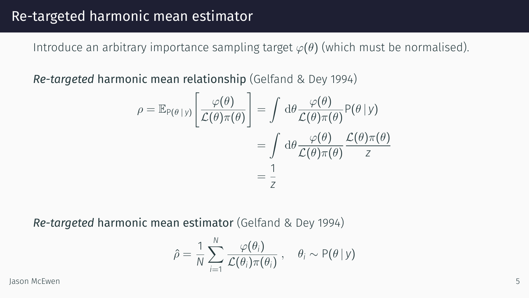Introduce an arbitrary importance sampling target  $\varphi(\theta)$  (which must be normalised).

*Re-targeted* harmonic mean relationship (Gelfand & Dey 1994)

$$
\rho = \mathbb{E}_{P(\theta | y)} \left[ \frac{\varphi(\theta)}{\mathcal{L}(\theta)\pi(\theta)} \right] = \int d\theta \frac{\varphi(\theta)}{\mathcal{L}(\theta)\pi(\theta)} P(\theta | y)
$$

$$
= \int d\theta \frac{\varphi(\theta)}{\mathcal{L}(\theta)\pi(\theta)} \frac{\mathcal{L}(\theta)\pi(\theta)}{z}
$$

$$
= \frac{1}{z}
$$

*Re-targeted* harmonic mean estimator (Gelfand & Dey 1994)

$$
\hat{\rho} = \frac{1}{N} \sum_{i=1}^{N} \frac{\varphi(\theta_i)}{\mathcal{L}(\theta_i)\pi(\theta_i)}, \quad \theta_i \sim P(\theta | y)
$$

Jason McEwen 5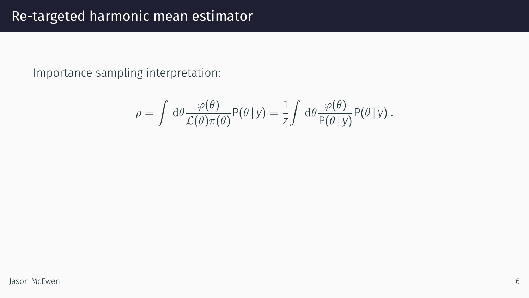Importance sampling interpretation:

$$
\rho = \int d\theta \frac{\varphi(\theta)}{\mathcal{L}(\theta)\pi(\theta)} P(\theta | y) = \frac{1}{z} \int d\theta \frac{\varphi(\theta)}{P(\theta | y)} P(\theta | y) .
$$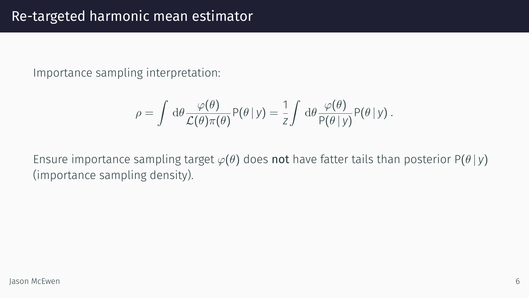Importance sampling interpretation:

$$
\rho = \int d\theta \frac{\varphi(\theta)}{\mathcal{L}(\theta)\pi(\theta)} P(\theta | y) = \frac{1}{Z} \int d\theta \frac{\varphi(\theta)}{P(\theta | y)} P(\theta | y).
$$

Ensure importance sampling target  $\varphi(\theta)$  does **not** have fatter tails than posterior P( $\theta | y$ ) (importance sampling density).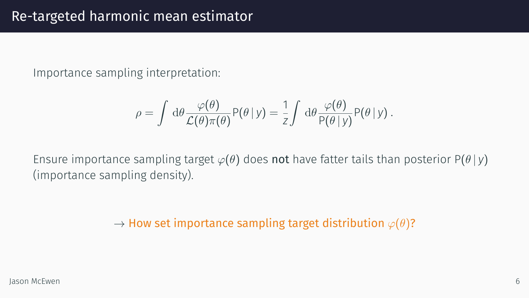Importance sampling interpretation:

$$
\rho = \int d\theta \frac{\varphi(\theta)}{\mathcal{L}(\theta)\pi(\theta)} P(\theta | y) = \frac{1}{z} \int d\theta \frac{\varphi(\theta)}{P(\theta | y)} P(\theta | y).
$$

Ensure importance sampling target  $\varphi(\theta)$  does **not** have fatter tails than posterior P( $\theta | y$ ) (importance sampling density).

*→* How set importance sampling target distribution *φ*(*θ*)?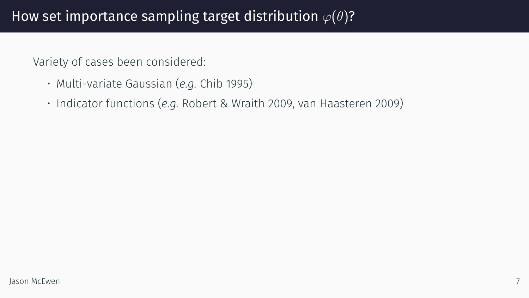### How set importance sampling target distribution *φ*(*θ*)?

Variety of cases been considered:

- Multi-variate Gaussian (*e.g.* Chib 1995)
- Indicator functions (*e.g.* Robert & Wraith 2009, van Haasteren 2009)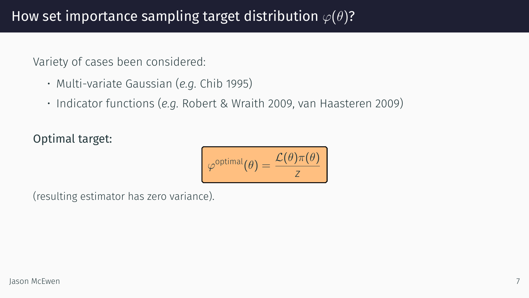### How set importance sampling target distribution *φ*(*θ*)?

Variety of cases been considered:

- Multi-variate Gaussian (*e.g.* Chib 1995)
- Indicator functions (*e.g.* Robert & Wraith 2009, van Haasteren 2009)

#### Optimal target:



(resulting estimator has zero variance).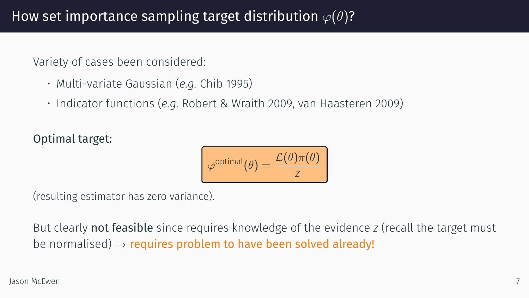### How set importance sampling target distribution *φ*(*θ*)?

Variety of cases been considered:

- Multi-variate Gaussian (*e.g.* Chib 1995)
- Indicator functions (*e.g.* Robert & Wraith 2009, van Haasteren 2009)

#### Optimal target:

| $\mathcal{L}(\theta)\pi(\theta)$<br>optimal $\sqrt{\rho}$ |
|-----------------------------------------------------------|
|                                                           |

(resulting estimator has zero variance).

But clearly not feasible since requires knowledge of the evidence *z* (recall the target must be normalised) *→* requires problem to have been solved already!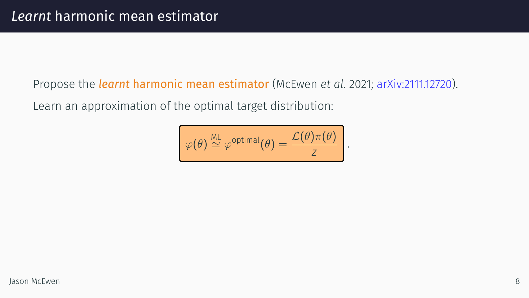### *Learnt* harmonic mean estimator

Propose the *learnt* harmonic mean estimator (McEwen *et al.* 2021; arXiv:2111.12720).

Learn an approximation of the optimal target distribution:

$$
\boxed{\varphi(\theta) \stackrel{\text{ML}}{\simeq} \varphi^{\text{optimal}}(\theta) = \frac{\mathcal{L}(\theta)\pi(\theta)}{z}}
$$

*.*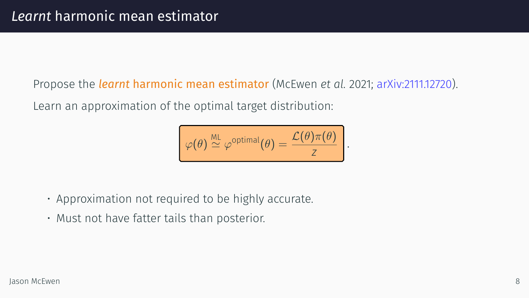### *Learnt* harmonic mean estimator

Propose the *learnt* harmonic mean estimator (McEwen *et al.* 2021; arXiv:2111.12720).

Learn an approximation of the optimal target distribution:



- Approximation not required to be highly accurate.
- Must not have fatter tails than posterior.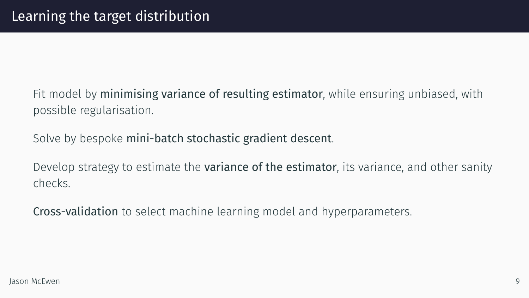### Learning the target distribution

Fit model by minimising variance of resulting estimator, while ensuring unbiased, with possible regularisation.

Solve by bespoke mini-batch stochastic gradient descent.

Develop strategy to estimate the variance of the estimator, its variance, and other sanity checks.

Cross-validation to select machine learning model and hyperparameters.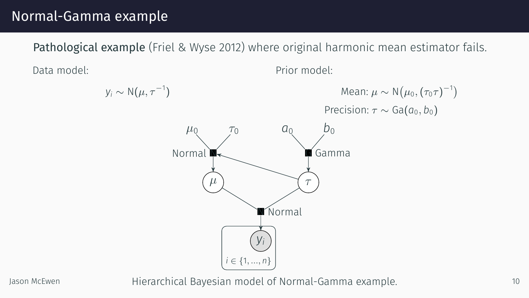Pathological example (Friel & Wyse 2012) where original harmonic mean estimator fails.



Jason McEwen **Hierarchical Bayesian model of Normal-Gamma example.** 10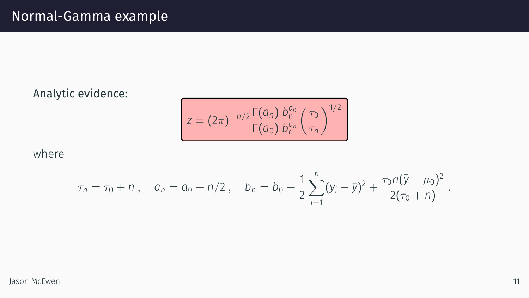Analytic evidence:

$$
z = (2\pi)^{-n/2} \frac{\Gamma(a_n)}{\Gamma(a_0)} \frac{b_0^{a_0}}{b_n^{a_n}} \left(\frac{\tau_0}{\tau_n}\right)^{1/2}
$$

where

$$
\tau_n = \tau_0 + n \,, \quad a_n = a_0 + n/2 \,, \quad b_n = b_0 + \frac{1}{2} \sum_{i=1}^n (y_i - \bar{y})^2 + \frac{\tau_0 n (\bar{y} - \mu_0)^2}{2(\tau_0 + n)} \,.
$$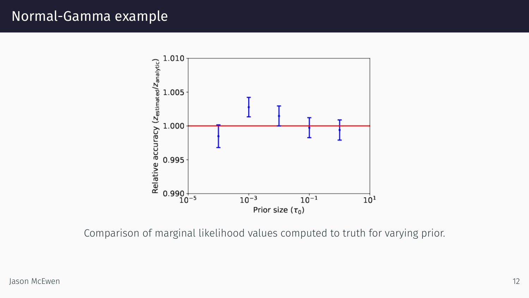

Comparison of marginal likelihood values computed to truth for varying prior.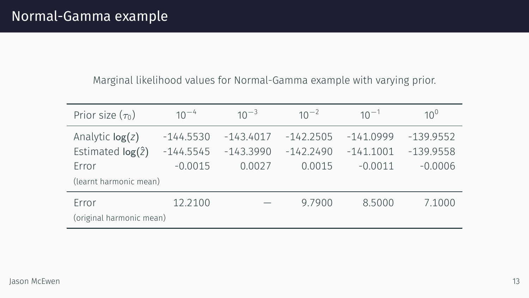Marginal likelihood values for Normal-Gamma example with varying prior.

| Prior size $(\tau_0)$    | $10^{-4}$   | $10^{-3}$   | $10^{-2}$   | $10^{-1}$   | $10^{0}$    |  |  |
|--------------------------|-------------|-------------|-------------|-------------|-------------|--|--|
| Analytic $log(z)$        | $-144.5530$ | $-143.4017$ | $-142.2505$ | $-141.0999$ | $-139.9552$ |  |  |
| Estimated $log(2)$       | $-144.5545$ | $-143.3990$ | $-142.2490$ | $-141.1001$ | $-139.9558$ |  |  |
| Error                    | $-0.0015$   | 0.0027      | 0.0015      | $-0.0011$   | $-0.0006$   |  |  |
| (learnt harmonic mean)   |             |             |             |             |             |  |  |
| Error                    | 12.2100     |             | 9.7900      | 8.5000      | 7.1000      |  |  |
| (original harmonic mean) |             |             |             |             |             |  |  |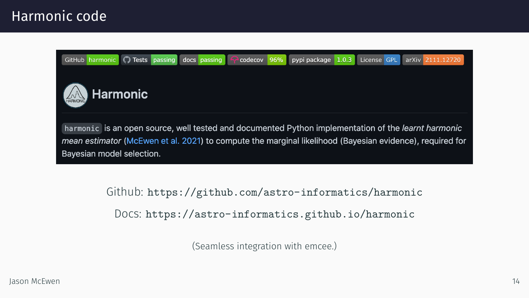### Harmonic code



(Seamless integration with emcee.)